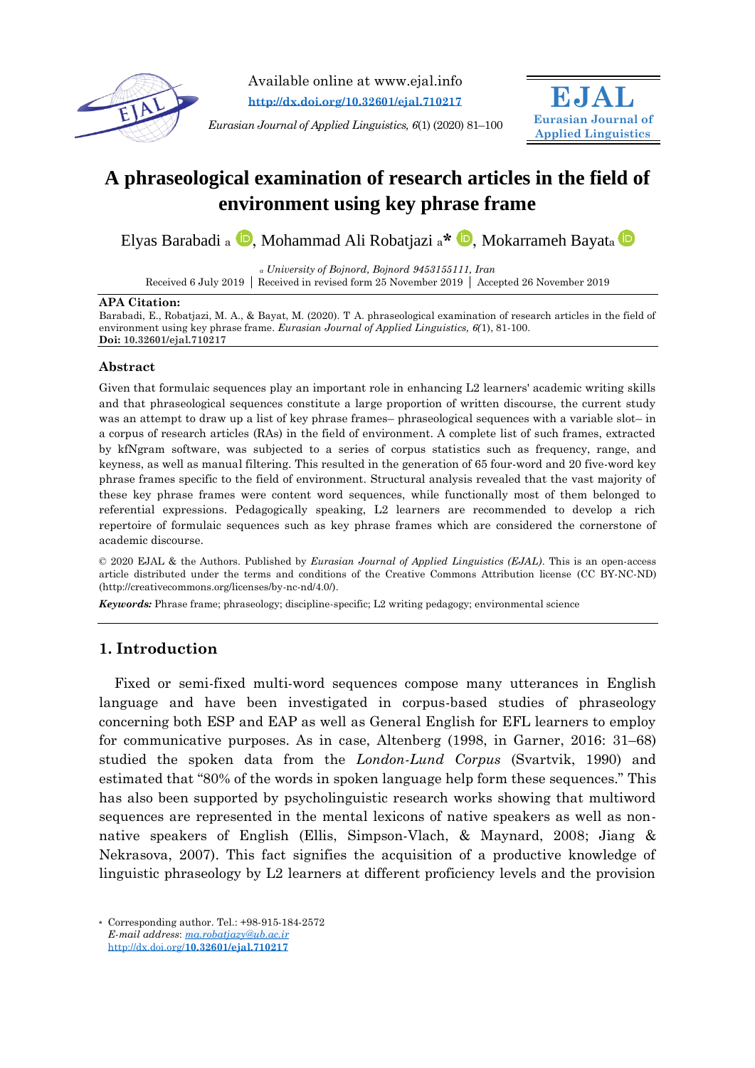

Available online at www.ejal.info **<http://dx.doi.org/10.32601/ejal.710217>**

*Eurasian Journal of Applied Linguistics, 6*(1) (2020) 81–100



# **A phraseological examination of research articles in the field of environment using key phrase frame**

Ely[a](https://orcid.org/0000-0002-4527-7594)s Barabadi a **D**[,](https://orcid.org/0000-0002-2245-624X) Mohammad Ali Robatjazi a<sup>\*</sup> **D**, Mokarrameh Bayata **D** 

*<sup>a</sup> University of Bojnord, Bojnord 9453155111, Iran*

Received 6 July 2019 Received in revised form 25 November 2019 Accepted 26 November 2019

#### **APA Citation:**

Barabadi, E., Robatjazi, M. A., & Bayat, M. (2020). T A. phraseological examination of research articles in the field of environment using key phrase frame. *Eurasian Journal of Applied Linguistics, 6(*1), 81-100. **Doi: 10.32601/ejal.710217**

## **Abstract**

Given that formulaic sequences play an important role in enhancing L2 learners' academic writing skills and that phraseological sequences constitute a large proportion of written discourse, the current study was an attempt to draw up a list of key phrase frames– phraseological sequences with a variable slot– in a corpus of research articles (RAs) in the field of environment. A complete list of such frames, extracted by kfNgram software, was subjected to a series of corpus statistics such as frequency, range, and keyness, as well as manual filtering. This resulted in the generation of 65 four-word and 20 five-word key phrase frames specific to the field of environment. Structural analysis revealed that the vast majority of these key phrase frames were content word sequences, while functionally most of them belonged to referential expressions. Pedagogically speaking, L2 learners are recommended to develop a rich repertoire of formulaic sequences such as key phrase frames which are considered the cornerstone of academic discourse.

© 2020 EJAL & the Authors. Published by *Eurasian Journal of Applied Linguistics (EJAL)*. This is an open-access article distributed under the terms and conditions of the Creative Commons Attribution license (CC BY-NC-ND) (http://creativecommons.org/licenses/by-nc-nd/4.0/).

*Keywords:* Phrase frame; phraseology; discipline-specific; L2 writing pedagogy; environmental science

# **1. Introduction**

Fixed or semi-fixed multi-word sequences compose many utterances in English language and have been investigated in corpus-based studies of phraseology concerning both ESP and EAP as well as General English for EFL learners to employ for communicative purposes. As in case, Altenberg (1998, in Garner, 2016: 31–68) studied the spoken data from the *London-Lund Corpus* (Svartvik, 1990) and estimated that "80% of the words in spoken language help form these sequences." This has also been supported by psycholinguistic research works showing that multiword sequences are represented in the mental lexicons of native speakers as well as nonnative speakers of English (Ellis, Simpson-Vlach, & Maynard, 2008; Jiang & Nekrasova, 2007). This fact signifies the acquisition of a productive knowledge of linguistic phraseology by L2 learners at different proficiency levels and the provision

**\*** Corresponding author. Tel.: +98-915-184-2572 *E-mail address*: *[ma.robatjazy@ub.ac.ir](mailto:ma.robatjazy@ub.ac.ir)* http://dx.doi.org/**[10.32601/ejal.710217](http://dx.doi.org/10.32601/ejal.710217)**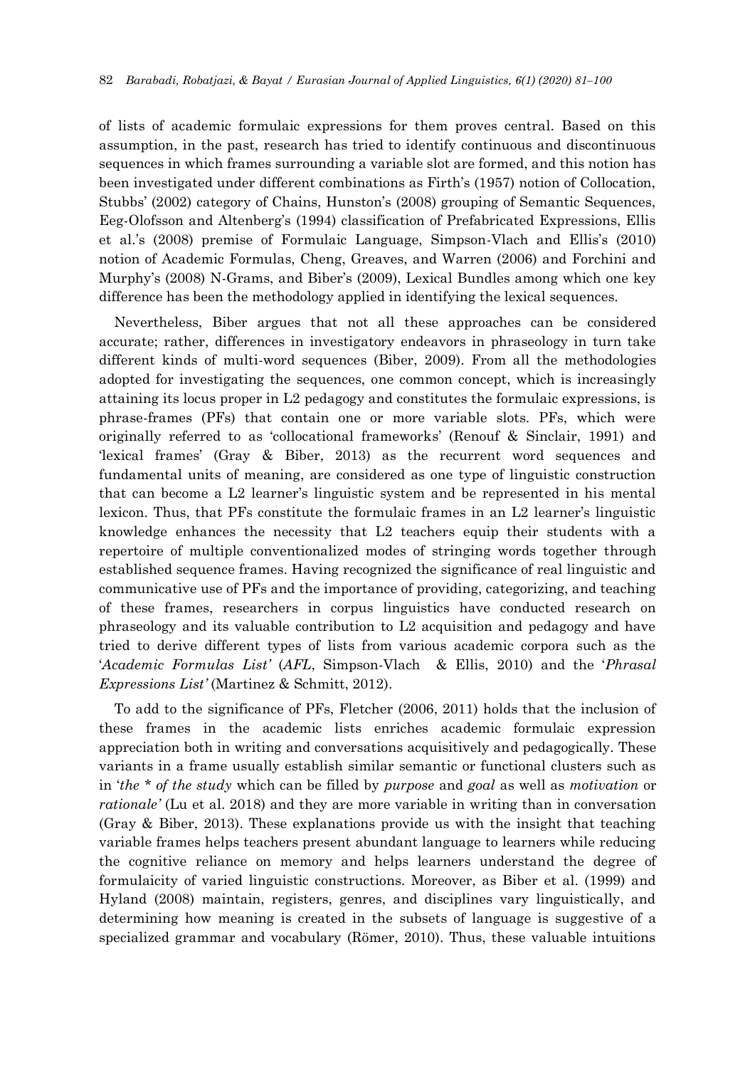of lists of academic formulaic expressions for them proves central. Based on this assumption, in the past, research has tried to identify continuous and discontinuous sequences in which frames surrounding a variable slot are formed, and this notion has been investigated under different combinations as Firth's (1957) notion of Collocation, Stubbs' (2002) category of Chains, Hunston's (2008) grouping of Semantic Sequences, Eeg-Olofsson and Altenberg's (1994) classification of Prefabricated Expressions, Ellis et al.'s (2008) premise of Formulaic Language, Simpson-Vlach and Ellis's (2010) notion of Academic Formulas, Cheng, Greaves, and Warren (2006) and Forchini and Murphy's (2008) N-Grams, and Biber's (2009), Lexical Bundles among which one key difference has been the methodology applied in identifying the lexical sequences.

Nevertheless, Biber argues that not all these approaches can be considered accurate; rather, differences in investigatory endeavors in phraseology in turn take different kinds of multi-word sequences (Biber, 2009). From all the methodologies adopted for investigating the sequences, one common concept, which is increasingly attaining its locus proper in L2 pedagogy and constitutes the formulaic expressions, is phrase-frames (PFs) that contain one or more variable slots. PFs, which were originally referred to as 'collocational frameworks' (Renouf & Sinclair, 1991) and 'lexical frames' (Gray & Biber, 2013) as the recurrent word sequences and fundamental units of meaning, are considered as one type of linguistic construction that can become a L2 learner's linguistic system and be represented in his mental lexicon. Thus, that PFs constitute the formulaic frames in an L2 learner's linguistic knowledge enhances the necessity that L2 teachers equip their students with a repertoire of multiple conventionalized modes of stringing words together through established sequence frames. Having recognized the significance of real linguistic and communicative use of PFs and the importance of providing, categorizing, and teaching of these frames, researchers in corpus linguistics have conducted research on phraseology and its valuable contribution to L2 acquisition and pedagogy and have tried to derive different types of lists from various academic corpora such as the '*Academic Formulas List'* (*AFL*, Simpson-Vlach & Ellis, 2010) and the '*Phrasal Expressions List'* (Martinez & Schmitt, 2012).

To add to the significance of PFs, Fletcher (2006, 2011) holds that the inclusion of these frames in the academic lists enriches academic formulaic expression appreciation both in writing and conversations acquisitively and pedagogically. These variants in a frame usually establish similar semantic or functional clusters such as in '*the \* of the study* which can be filled by *purpose* and *goal* as well as *motivation* or *rationale'* (Lu et al. 2018) and they are more variable in writing than in conversation (Gray & Biber, 2013). These explanations provide us with the insight that teaching variable frames helps teachers present abundant language to learners while reducing the cognitive reliance on memory and helps learners understand the degree of formulaicity of varied linguistic constructions. Moreover, as Biber et al. (1999) and Hyland (2008) maintain, registers, genres, and disciplines vary linguistically, and determining how meaning is created in the subsets of language is suggestive of a specialized grammar and vocabulary (Römer, 2010). Thus, these valuable intuitions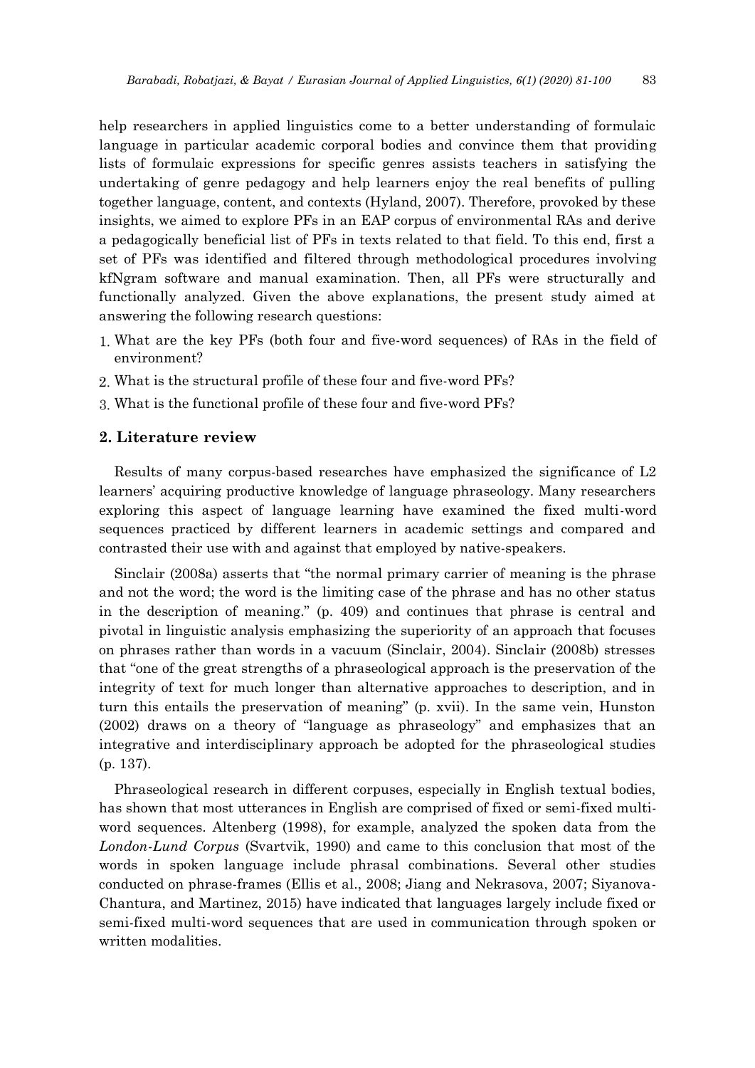help researchers in applied linguistics come to a better understanding of formulaic language in particular academic corporal bodies and convince them that providing lists of formulaic expressions for specific genres assists teachers in satisfying the undertaking of genre pedagogy and help learners enjoy the real benefits of pulling together language, content, and contexts (Hyland, 2007). Therefore, provoked by these insights, we aimed to explore PFs in an EAP corpus of environmental RAs and derive a pedagogically beneficial list of PFs in texts related to that field. To this end, first a set of PFs was identified and filtered through methodological procedures involving kfNgram software and manual examination. Then, all PFs were structurally and functionally analyzed. Given the above explanations, the present study aimed at answering the following research questions:

- What are the key PFs (both four and five-word sequences) of RAs in the field of environment?
- What is the structural profile of these four and five-word PFs?
- What is the functional profile of these four and five-word PFs?

## **2. Literature review**

Results of many corpus-based researches have emphasized the significance of L2 learners' acquiring productive knowledge of language phraseology. Many researchers exploring this aspect of language learning have examined the fixed multi-word sequences practiced by different learners in academic settings and compared and contrasted their use with and against that employed by native-speakers.

Sinclair (2008a) asserts that "the normal primary carrier of meaning is the phrase and not the word; the word is the limiting case of the phrase and has no other status in the description of meaning." (p. 409) and continues that phrase is central and pivotal in linguistic analysis emphasizing the superiority of an approach that focuses on phrases rather than words in a vacuum (Sinclair, 2004). Sinclair (2008b) stresses that "one of the great strengths of a phraseological approach is the preservation of the integrity of text for much longer than alternative approaches to description, and in turn this entails the preservation of meaning" (p. xvii). In the same vein, Hunston (2002) draws on a theory of "language as phraseology" and emphasizes that an integrative and interdisciplinary approach be adopted for the phraseological studies (p. 137).

Phraseological research in different corpuses, especially in English textual bodies, has shown that most utterances in English are comprised of fixed or semi-fixed multiword sequences. Altenberg (1998), for example, analyzed the spoken data from the *London-Lund Corpus* (Svartvik, 1990) and came to this conclusion that most of the words in spoken language include phrasal combinations. Several other studies conducted on phrase-frames (Ellis et al., 2008; Jiang and Nekrasova, 2007; Siyanova-Chantura, and Martinez, 2015) have indicated that languages largely include fixed or semi-fixed multi-word sequences that are used in communication through spoken or written modalities.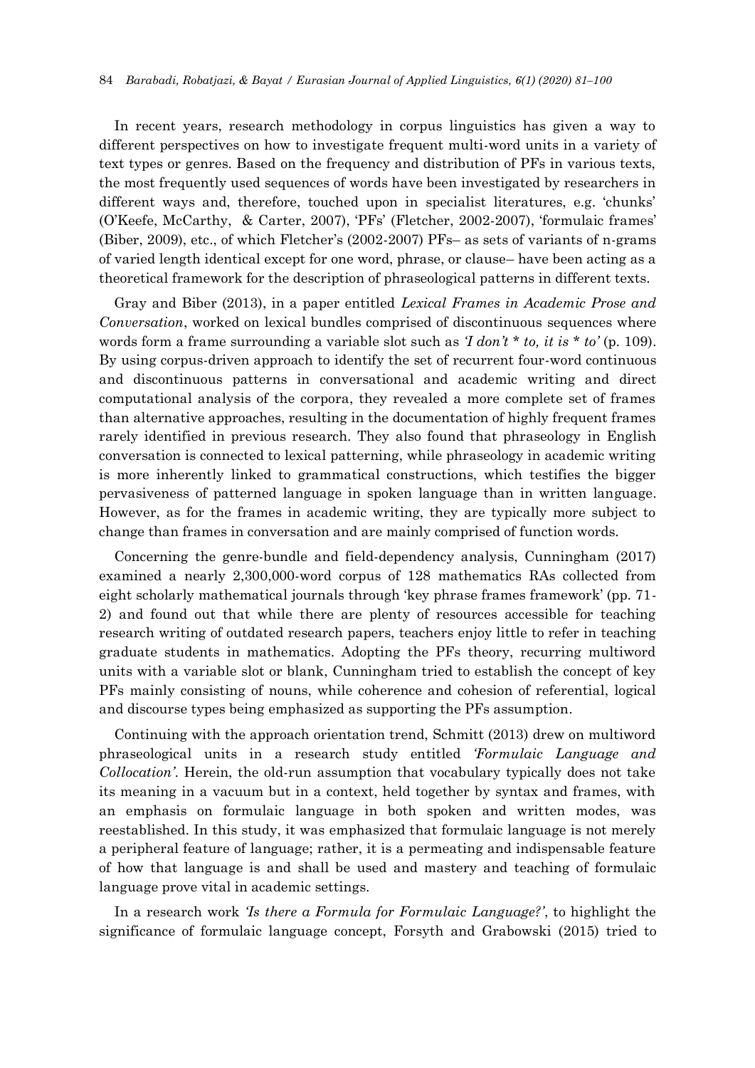In recent years, research methodology in corpus linguistics has given a way to different perspectives on how to investigate frequent multi-word units in a variety of text types or genres. Based on the frequency and distribution of PFs in various texts, the most frequently used sequences of words have been investigated by researchers in different ways and, therefore, touched upon in specialist literatures, e.g. 'chunks' (O'Keefe, McCarthy, & Carter, 2007), 'PFs' (Fletcher, 2002-2007), 'formulaic frames' (Biber, 2009), etc., of which Fletcher's (2002-2007) PFs– as sets of variants of n-grams of varied length identical except for one word, phrase, or clause– have been acting as a theoretical framework for the description of phraseological patterns in different texts.

Gray and Biber (2013), in a paper entitled *Lexical Frames in Academic Prose and Conversation*, worked on lexical bundles comprised of discontinuous sequences where words form a frame surrounding a variable slot such as *'I don't \* to, it is \* to'* (p. 109). By using corpus-driven approach to identify the set of recurrent four-word continuous and discontinuous patterns in conversational and academic writing and direct computational analysis of the corpora, they revealed a more complete set of frames than alternative approaches, resulting in the documentation of highly frequent frames rarely identified in previous research. They also found that phraseology in English conversation is connected to lexical patterning, while phraseology in academic writing is more inherently linked to grammatical constructions, which testifies the bigger pervasiveness of patterned language in spoken language than in written language. However, as for the frames in academic writing, they are typically more subject to change than frames in conversation and are mainly comprised of function words.

Concerning the genre-bundle and field-dependency analysis, Cunningham (2017) examined a nearly 2,300,000-word corpus of 128 mathematics RAs collected from eight scholarly mathematical journals through 'key phrase frames framework' (pp. 71- 2) and found out that while there are plenty of resources accessible for teaching research writing of outdated research papers, teachers enjoy little to refer in teaching graduate students in mathematics. Adopting the PFs theory, recurring multiword units with a variable slot or blank, Cunningham tried to establish the concept of key PFs mainly consisting of nouns, while coherence and cohesion of referential, logical and discourse types being emphasized as supporting the PFs assumption.

Continuing with the approach orientation trend, Schmitt (2013) drew on multiword phraseological units in a research study entitled *'Formulaic Language and Collocation'*. Herein, the old-run assumption that vocabulary typically does not take its meaning in a vacuum but in a context, held together by syntax and frames, with an emphasis on formulaic language in both spoken and written modes, was reestablished. In this study, it was emphasized that formulaic language is not merely a peripheral feature of language; rather, it is a permeating and indispensable feature of how that language is and shall be used and mastery and teaching of formulaic language prove vital in academic settings.

In a research work *'Is there a Formula for Formulaic Language?'*, to highlight the significance of formulaic language concept, Forsyth and Grabowski (2015) tried to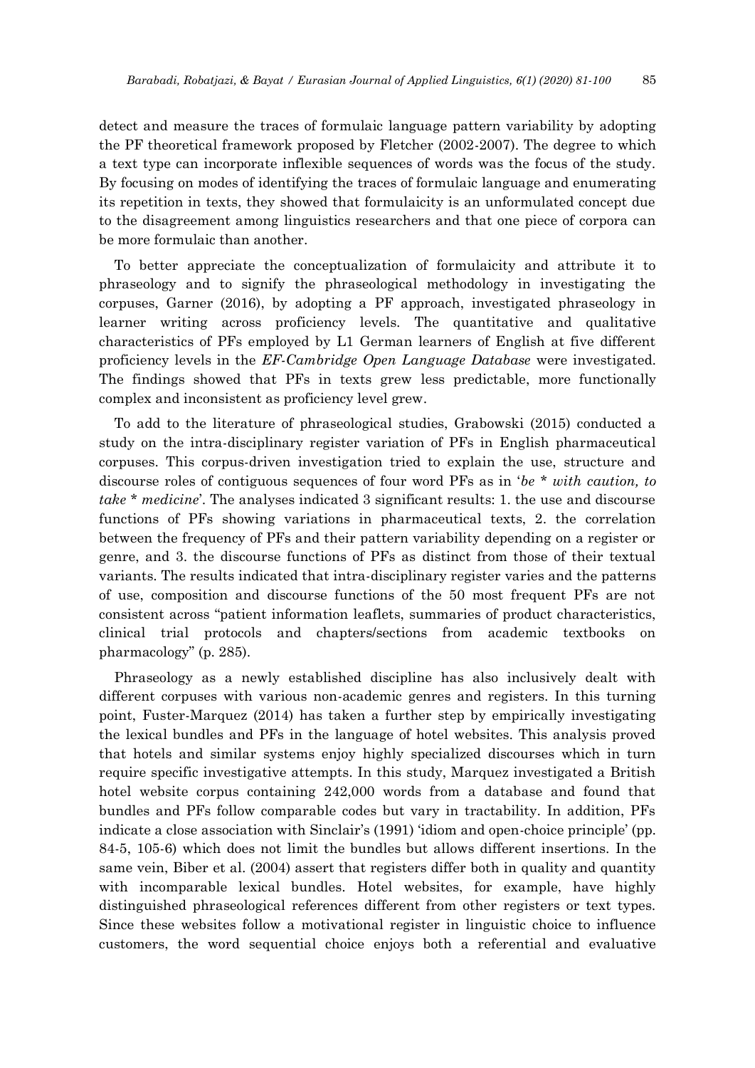detect and measure the traces of formulaic language pattern variability by adopting the PF theoretical framework proposed by Fletcher (2002-2007). The degree to which a text type can incorporate inflexible sequences of words was the focus of the study. By focusing on modes of identifying the traces of formulaic language and enumerating its repetition in texts, they showed that formulaicity is an unformulated concept due to the disagreement among linguistics researchers and that one piece of corpora can be more formulaic than another.

To better appreciate the conceptualization of formulaicity and attribute it to phraseology and to signify the phraseological methodology in investigating the corpuses, Garner (2016), by adopting a PF approach, investigated phraseology in learner writing across proficiency levels. The quantitative and qualitative characteristics of PFs employed by L1 German learners of English at five different proficiency levels in the *EF-Cambridge Open Language Database* were investigated. The findings showed that PFs in texts grew less predictable, more functionally complex and inconsistent as proficiency level grew.

To add to the literature of phraseological studies, Grabowski (2015) conducted a study on the intra-disciplinary register variation of PFs in English pharmaceutical corpuses. This corpus-driven investigation tried to explain the use, structure and discourse roles of contiguous sequences of four word PFs as in '*be \* with caution, to take \* medicine*'. The analyses indicated 3 significant results: 1. the use and discourse functions of PFs showing variations in pharmaceutical texts, 2. the correlation between the frequency of PFs and their pattern variability depending on a register or genre, and 3. the discourse functions of PFs as distinct from those of their textual variants. The results indicated that intra-disciplinary register varies and the patterns of use, composition and discourse functions of the 50 most frequent PFs are not consistent across "patient information leaflets, summaries of product characteristics, clinical trial protocols and chapters/sections from academic textbooks on pharmacology" (p. 285).

Phraseology as a newly established discipline has also inclusively dealt with different corpuses with various non-academic genres and registers. In this turning point, Fuster-Marquez (2014) has taken a further step by empirically investigating the lexical bundles and PFs in the language of hotel websites. This analysis proved that hotels and similar systems enjoy highly specialized discourses which in turn require specific investigative attempts. In this study, Marquez investigated a British hotel website corpus containing 242,000 words from a database and found that bundles and PFs follow comparable codes but vary in tractability. In addition, PFs indicate a close association with Sinclair's (1991) 'idiom and open-choice principle' (pp. 84-5, 105-6) which does not limit the bundles but allows different insertions. In the same vein, Biber et al. (2004) assert that registers differ both in quality and quantity with incomparable lexical bundles. Hotel websites, for example, have highly distinguished phraseological references different from other registers or text types. Since these websites follow a motivational register in linguistic choice to influence customers, the word sequential choice enjoys both a referential and evaluative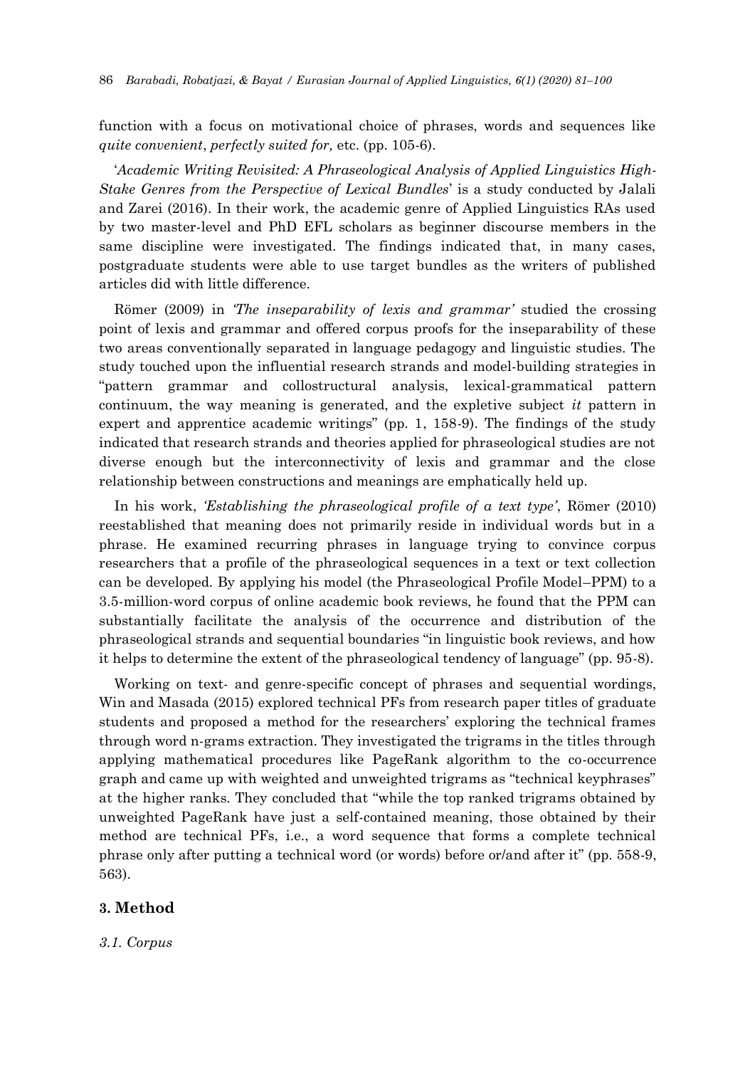function with a focus on motivational choice of phrases, words and sequences like *quite convenient*, *perfectly suited for,* etc. (pp. 105-6).

'*Academic Writing Revisited: A Phraseological Analysis of Applied Linguistics High-Stake Genres from the Perspective of Lexical Bundles*' is a study conducted by Jalali and Zarei (2016). In their work, the academic genre of Applied Linguistics RAs used by two master-level and PhD EFL scholars as beginner discourse members in the same discipline were investigated. The findings indicated that, in many cases, postgraduate students were able to use target bundles as the writers of published articles did with little difference.

Römer (2009) in *'The inseparability of lexis and grammar'* studied the crossing point of lexis and grammar and offered corpus proofs for the inseparability of these two areas conventionally separated in language pedagogy and linguistic studies. The study touched upon the influential research strands and model-building strategies in "pattern grammar and collostructural analysis, lexical-grammatical pattern continuum, the way meaning is generated, and the expletive subject *it* pattern in expert and apprentice academic writings" (pp. 1, 158-9). The findings of the study indicated that research strands and theories applied for phraseological studies are not diverse enough but the interconnectivity of lexis and grammar and the close relationship between constructions and meanings are emphatically held up.

In his work, *'Establishing the phraseological profile of a text type'*, Römer (2010) reestablished that meaning does not primarily reside in individual words but in a phrase. He examined recurring phrases in language trying to convince corpus researchers that a profile of the phraseological sequences in a text or text collection can be developed. By applying his model (the Phraseological Profile Model–PPM) to a 3.5-million-word corpus of online academic book reviews, he found that the PPM can substantially facilitate the analysis of the occurrence and distribution of the phraseological strands and sequential boundaries "in linguistic book reviews, and how it helps to determine the extent of the phraseological tendency of language" (pp. 95-8).

Working on text- and genre-specific concept of phrases and sequential wordings, Win and Masada (2015) explored technical PFs from research paper titles of graduate students and proposed a method for the researchers' exploring the technical frames through word n-grams extraction. They investigated the trigrams in the titles through applying mathematical procedures like PageRank algorithm to the co-occurrence graph and came up with weighted and unweighted trigrams as "technical keyphrases" at the higher ranks. They concluded that "while the top ranked trigrams obtained by unweighted PageRank have just a self-contained meaning, those obtained by their method are technical PFs, i.e., a word sequence that forms a complete technical phrase only after putting a technical word (or words) before or/and after it" (pp. 558-9, 563).

## **3. Method**

*3.1. Corpus*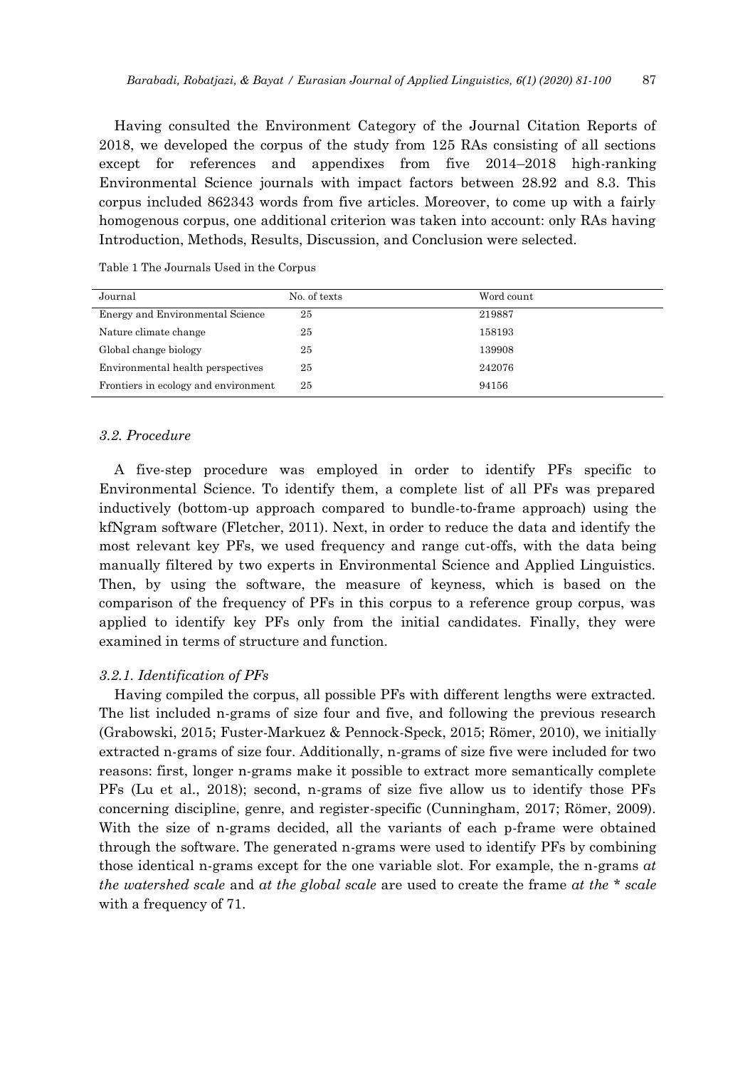Having consulted the Environment Category of the Journal Citation Reports of 2018, we developed the corpus of the study from 125 RAs consisting of all sections except for references and appendixes from five 2014–2018 high-ranking Environmental Science journals with impact factors between 28.92 and 8.3. This corpus included 862343 words from five articles. Moreover, to come up with a fairly homogenous corpus, one additional criterion was taken into account: only RAs having Introduction, Methods, Results, Discussion, and Conclusion were selected.

Table 1 The Journals Used in the Corpus

| Journal                              | No. of texts | Word count |
|--------------------------------------|--------------|------------|
| Energy and Environmental Science     | 25           | 219887     |
| Nature climate change                | 25           | 158193     |
| Global change biology                | 25           | 139908     |
| Environmental health perspectives    | 25           | 242076     |
| Frontiers in ecology and environment | 25           | 94156      |

## *3.2. Procedure*

A five-step procedure was employed in order to identify PFs specific to Environmental Science. To identify them, a complete list of all PFs was prepared inductively (bottom-up approach compared to bundle-to-frame approach) using the kfNgram software (Fletcher, 2011). Next, in order to reduce the data and identify the most relevant key PFs, we used frequency and range cut-offs, with the data being manually filtered by two experts in Environmental Science and Applied Linguistics. Then, by using the software, the measure of keyness, which is based on the comparison of the frequency of PFs in this corpus to a reference group corpus, was applied to identify key PFs only from the initial candidates. Finally, they were examined in terms of structure and function.

## *3.2.1. Identification of PFs*

Having compiled the corpus, all possible PFs with different lengths were extracted. The list included n-grams of size four and five, and following the previous research (Grabowski, 2015; Fuster-Markuez & Pennock-Speck, 2015; Römer, 2010), we initially extracted n-grams of size four. Additionally, n-grams of size five were included for two reasons: first, longer n-grams make it possible to extract more semantically complete PFs (Lu et al., 2018); second, n-grams of size five allow us to identify those PFs concerning discipline, genre, and register-specific (Cunningham, 2017; Römer, 2009). With the size of n-grams decided, all the variants of each p-frame were obtained through the software. The generated n-grams were used to identify PFs by combining those identical n-grams except for the one variable slot. For example, the n-grams *at the watershed scale* and *at the global scale* are used to create the frame *at the \* scale* with a frequency of 71.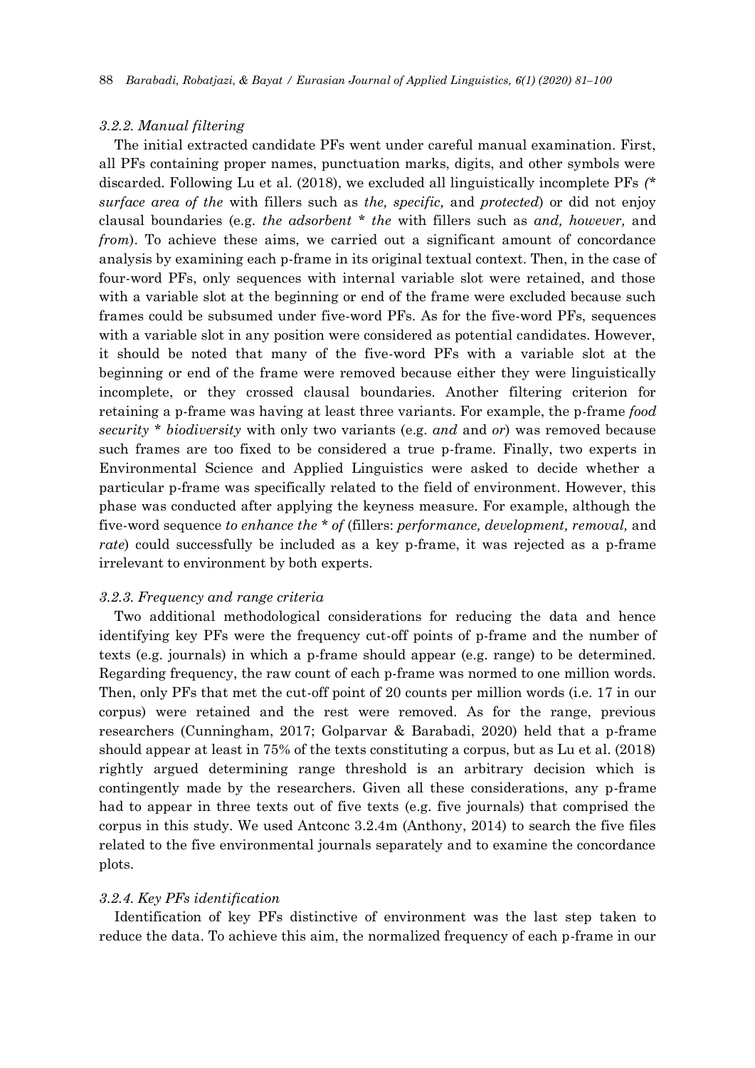#### *3.2.2. Manual filtering*

The initial extracted candidate PFs went under careful manual examination. First, all PFs containing proper names, punctuation marks, digits, and other symbols were discarded. Following Lu et al. (2018), we excluded all linguistically incomplete PFs *(\* surface area of the* with fillers such as *the, specific,* and *protected*) or did not enjoy clausal boundaries (e.g. *the adsorbent \* the* with fillers such as *and, however,* and *from*). To achieve these aims, we carried out a significant amount of concordance analysis by examining each p-frame in its original textual context. Then, in the case of four-word PFs, only sequences with internal variable slot were retained, and those with a variable slot at the beginning or end of the frame were excluded because such frames could be subsumed under five-word PFs. As for the five-word PFs, sequences with a variable slot in any position were considered as potential candidates. However, it should be noted that many of the five-word PFs with a variable slot at the beginning or end of the frame were removed because either they were linguistically incomplete, or they crossed clausal boundaries. Another filtering criterion for retaining a p-frame was having at least three variants. For example, the p-frame *food security \* biodiversity* with only two variants (e.g. *and* and *or*) was removed because such frames are too fixed to be considered a true p-frame. Finally, two experts in Environmental Science and Applied Linguistics were asked to decide whether a particular p-frame was specifically related to the field of environment. However, this phase was conducted after applying the keyness measure. For example, although the five-word sequence *to enhance the \* of* (fillers: *performance, development, removal,* and *rate*) could successfully be included as a key p-frame, it was rejected as a p-frame irrelevant to environment by both experts.

#### *3.2.3. Frequency and range criteria*

Two additional methodological considerations for reducing the data and hence identifying key PFs were the frequency cut-off points of p-frame and the number of texts (e.g. journals) in which a p-frame should appear (e.g. range) to be determined. Regarding frequency, the raw count of each p-frame was normed to one million words. Then, only PFs that met the cut-off point of 20 counts per million words (i.e. 17 in our corpus) were retained and the rest were removed. As for the range, previous researchers (Cunningham, 2017; Golparvar & Barabadi, 2020) held that a p-frame should appear at least in 75% of the texts constituting a corpus, but as Lu et al. (2018) rightly argued determining range threshold is an arbitrary decision which is contingently made by the researchers. Given all these considerations, any p-frame had to appear in three texts out of five texts (e.g. five journals) that comprised the corpus in this study. We used Antconc 3.2.4m (Anthony, 2014) to search the five files related to the five environmental journals separately and to examine the concordance plots.

#### *3.2.4. Key PFs identification*

Identification of key PFs distinctive of environment was the last step taken to reduce the data. To achieve this aim, the normalized frequency of each p-frame in our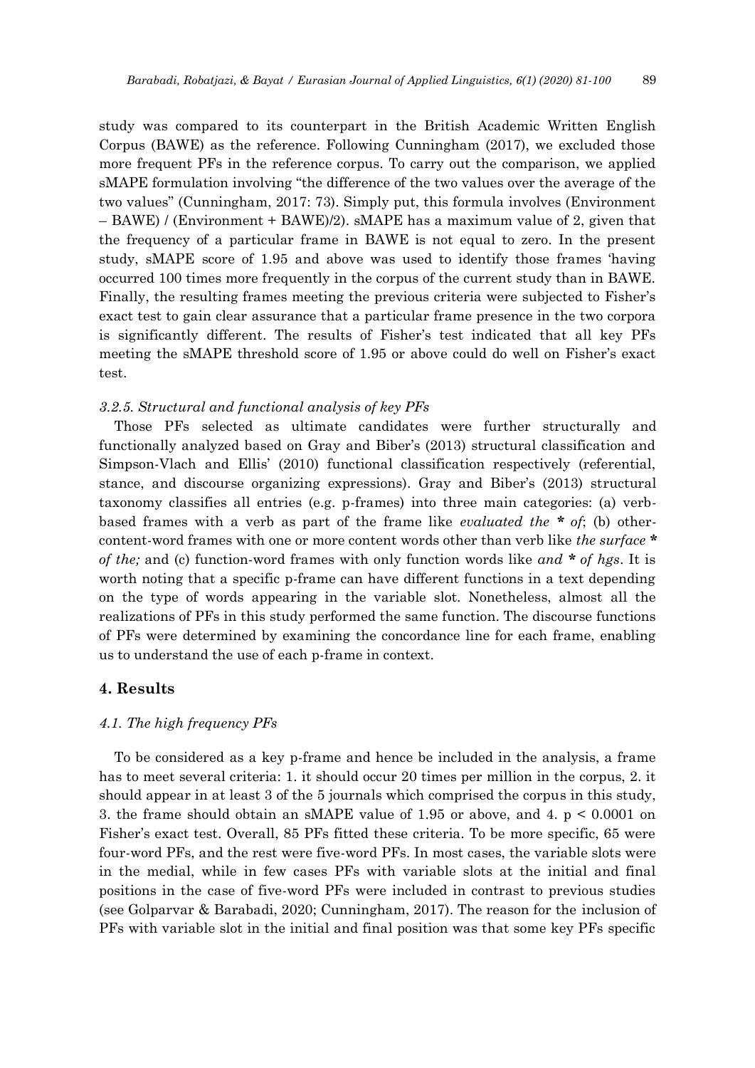study was compared to its counterpart in the British Academic Written English Corpus (BAWE) as the reference. Following Cunningham (2017), we excluded those more frequent PFs in the reference corpus. To carry out the comparison, we applied sMAPE formulation involving "the difference of the two values over the average of the two values" (Cunningham, 2017: 73). Simply put, this formula involves (Environment – BAWE) / (Environment + BAWE)/2). sMAPE has a maximum value of 2, given that the frequency of a particular frame in BAWE is not equal to zero. In the present study, sMAPE score of 1.95 and above was used to identify those frames 'having occurred 100 times more frequently in the corpus of the current study than in BAWE. Finally, the resulting frames meeting the previous criteria were subjected to Fisher's exact test to gain clear assurance that a particular frame presence in the two corpora is significantly different. The results of Fisher's test indicated that all key PFs meeting the sMAPE threshold score of 1.95 or above could do well on Fisher's exact test.

#### *3.2.5. Structural and functional analysis of key PFs*

Those PFs selected as ultimate candidates were further structurally and functionally analyzed based on Gray and Biber's (2013) structural classification and Simpson-Vlach and Ellis' (2010) functional classification respectively (referential, stance, and discourse organizing expressions). Gray and Biber's (2013) structural taxonomy classifies all entries (e.g. p-frames) into three main categories: (a) verbbased frames with a verb as part of the frame like *evaluated the \* of*; (b) othercontent-word frames with one or more content words other than verb like *the surface \* of the;* and (c) function-word frames with only function words like *and \* of hgs*. It is worth noting that a specific p-frame can have different functions in a text depending on the type of words appearing in the variable slot. Nonetheless, almost all the realizations of PFs in this study performed the same function. The discourse functions of PFs were determined by examining the concordance line for each frame, enabling us to understand the use of each p-frame in context.

## **4. Results**

#### *4.1. The high frequency PFs*

To be considered as a key p-frame and hence be included in the analysis, a frame has to meet several criteria: 1. it should occur 20 times per million in the corpus, 2. it should appear in at least 3 of the 5 journals which comprised the corpus in this study, 3. the frame should obtain an sMAPE value of 1.95 or above, and 4. p < 0.0001 on Fisher's exact test. Overall, 85 PFs fitted these criteria. To be more specific, 65 were four-word PFs, and the rest were five-word PFs. In most cases, the variable slots were in the medial, while in few cases PFs with variable slots at the initial and final positions in the case of five-word PFs were included in contrast to previous studies (see Golparvar & Barabadi, 2020; Cunningham, 2017). The reason for the inclusion of PFs with variable slot in the initial and final position was that some key PFs specific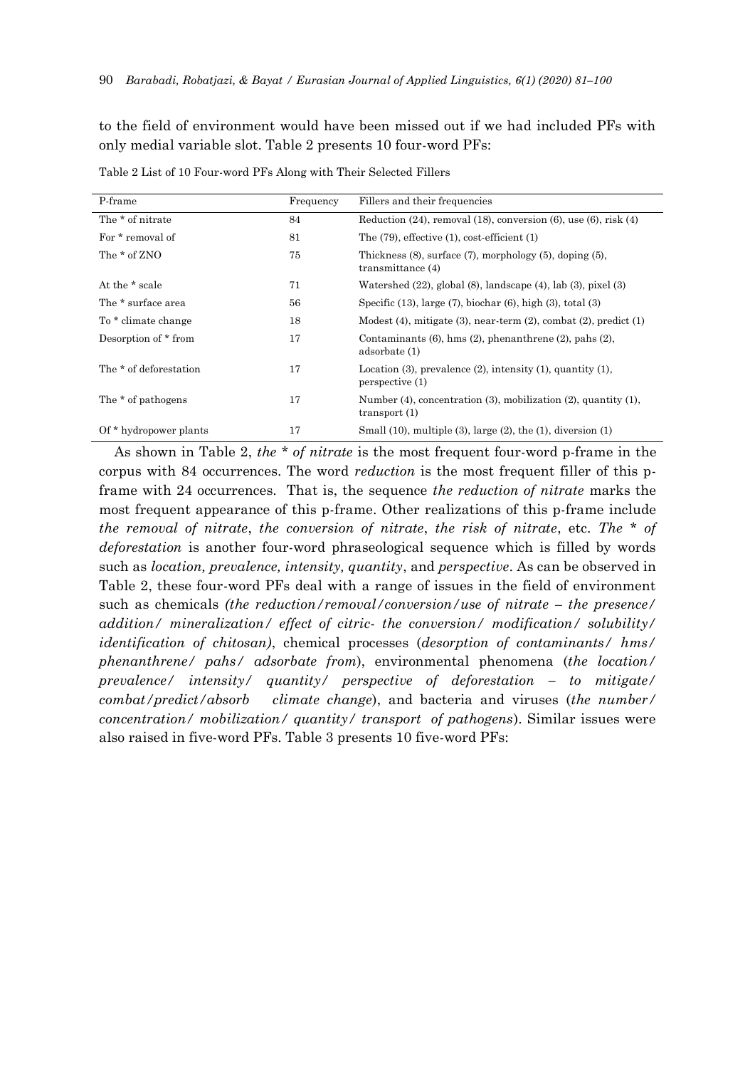to the field of environment would have been missed out if we had included PFs with only medial variable slot. Table 2 presents 10 four-word PFs:

| P-frame                | Frequency | Fillers and their frequencies                                                                 |
|------------------------|-----------|-----------------------------------------------------------------------------------------------|
| The * of nitrate       | 84        | Reduction $(24)$ , removal $(18)$ , conversion $(6)$ , use $(6)$ , risk $(4)$                 |
| For * removal of       | 81        | The $(79)$ , effective $(1)$ , cost-efficient $(1)$                                           |
| The * of ZNO           | 75        | Thickness $(8)$ , surface $(7)$ , morphology $(5)$ , doping $(5)$ ,<br>transmittance $(4)$    |
| At the * scale         | 71        | Watershed $(22)$ , global $(8)$ , landscape $(4)$ , lab $(3)$ , pixel $(3)$                   |
| The * surface area     | 56        | Specific $(13)$ , large $(7)$ , biochar $(6)$ , high $(3)$ , total $(3)$                      |
| To * climate change    | 18        | Modest $(4)$ , mitigate $(3)$ , near-term $(2)$ , combat $(2)$ , predict $(1)$                |
| Desorption of * from   | 17        | Contaminants $(6)$ , hms $(2)$ , phenanthrene $(2)$ , pahs $(2)$ ,<br>adsorbate (1)           |
| The * of deforestation | 17        | Location $(3)$ , prevalence $(2)$ , intensity $(1)$ , quantity $(1)$ ,<br>perspective (1)     |
| The * of pathogens     | 17        | Number $(4)$ , concentration $(3)$ , mobilization $(2)$ , quantity $(1)$ ,<br>transport $(1)$ |
| Of * hydropower plants | 17        | Small $(10)$ , multiple $(3)$ , large $(2)$ , the $(1)$ , diversion $(1)$                     |
|                        |           |                                                                                               |

Table 2 List of 10 Four-word PFs Along with Their Selected Fillers

As shown in Table 2, *the \* of nitrate* is the most frequent four-word p-frame in the corpus with 84 occurrences. The word *reduction* is the most frequent filler of this pframe with 24 occurrences. That is, the sequence *the reduction of nitrate* marks the most frequent appearance of this p-frame. Other realizations of this p-frame include *the removal of nitrate*, *the conversion of nitrate*, *the risk of nitrate*, etc. *The \* of deforestation* is another four-word phraseological sequence which is filled by words such as *location, prevalence, intensity, quantity*, and *perspective*. As can be observed in Table 2, these four-word PFs deal with a range of issues in the field of environment such as chemicals *(the reduction/removal/conversion/use of nitrate – the presence/ addition/ mineralization/ effect of citric- the conversion/ modification/ solubility/ identification of chitosan)*, chemical processes (*desorption of contaminants/ hms/ phenanthrene/ pahs/ adsorbate from*), environmental phenomena (*the location/ prevalence/ intensity/ quantity/ perspective of deforestation – to mitigate/ combat/predict/absorb climate change*), and bacteria and viruses (*the number/ concentration/ mobilization/ quantity/ transport of pathogens*). Similar issues were also raised in five-word PFs. Table 3 presents 10 five-word PFs: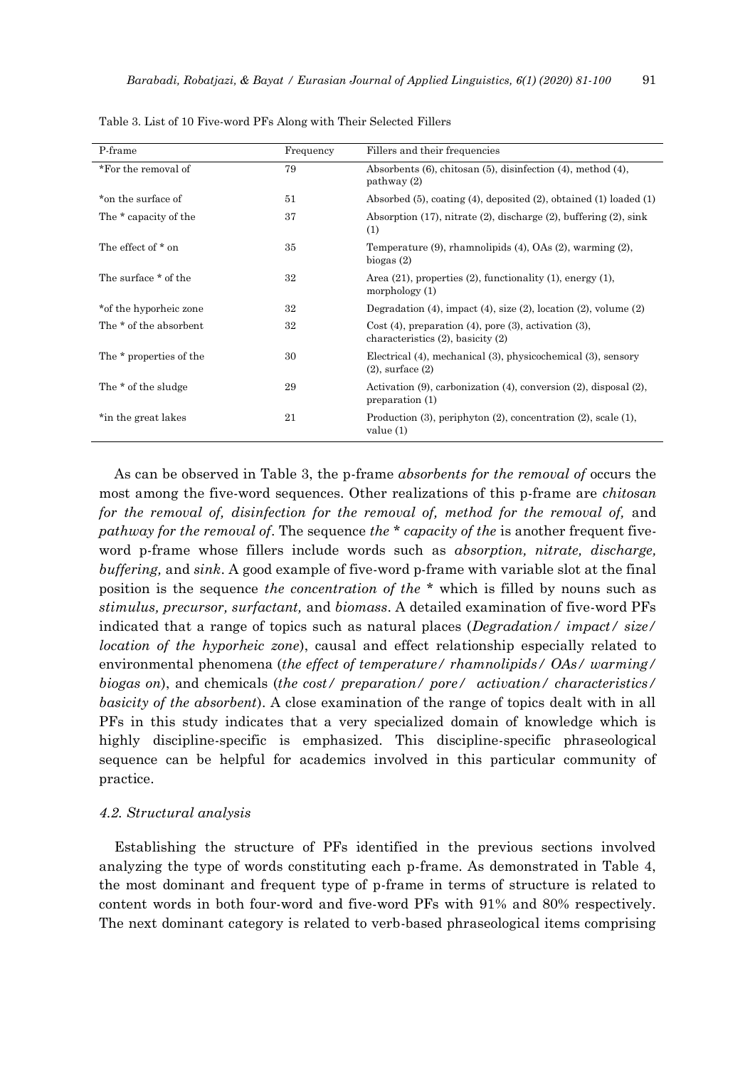| P-frame                 | Frequency | Fillers and their frequencies                                                                    |  |
|-------------------------|-----------|--------------------------------------------------------------------------------------------------|--|
| *For the removal of     | 79        | Absorbents $(6)$ , chitosan $(5)$ , disinfection $(4)$ , method $(4)$ ,<br>pathway(2)            |  |
| *on the surface of      | 51        | Absorbed $(5)$ , coating $(4)$ , deposited $(2)$ , obtained $(1)$ loaded $(1)$                   |  |
| The * capacity of the   | 37        | Absorption $(17)$ , nitrate $(2)$ , discharge $(2)$ , buffering $(2)$ , sink<br>(1)              |  |
| The effect of * on      | 35        | Temperature $(9)$ , rhamnolipids $(4)$ , OAs $(2)$ , warming $(2)$ ,<br>biogas $(2)$             |  |
| The surface * of the    | 32        | Area $(21)$ , properties $(2)$ , functionality $(1)$ , energy $(1)$ ,<br>morphology $(1)$        |  |
| *of the hyporheic zone  | 32        | Degradation $(4)$ , impact $(4)$ , size $(2)$ , location $(2)$ , volume $(2)$                    |  |
| The * of the absorbent  | 32        | $Cost(4)$ , preparation (4), pore (3), activation (3),<br>characteristics $(2)$ , basicity $(2)$ |  |
| The * properties of the | 30        | Electrical (4), mechanical (3), physicochemical (3), sensory<br>$(2)$ , surface $(2)$            |  |
| The * of the sludge     | 29        | Activation $(9)$ , carbonization $(4)$ , conversion $(2)$ , disposal $(2)$ ,<br>preparation (1)  |  |
| *in the great lakes     | 21        | Production $(3)$ , periphyton $(2)$ , concentration $(2)$ , scale $(1)$ ,<br>value $(1)$         |  |

Table 3. List of 10 Five-word PFs Along with Their Selected Fillers

As can be observed in Table 3, the p-frame *absorbents for the removal of* occurs the most among the five-word sequences. Other realizations of this p-frame are *chitosan for the removal of, disinfection for the removal of, method for the removal of,* and *pathway for the removal of*. The sequence *the \* capacity of the* is another frequent fiveword p-frame whose fillers include words such as *absorption, nitrate, discharge, buffering,* and *sink*. A good example of five-word p-frame with variable slot at the final position is the sequence *the concentration of the \** which is filled by nouns such as *stimulus, precursor, surfactant,* and *biomass*. A detailed examination of five-word PFs indicated that a range of topics such as natural places (*Degradation/ impact/ size/ location of the hyporheic zone*), causal and effect relationship especially related to environmental phenomena (*the effect of temperature/ rhamnolipids/ OAs/ warming/ biogas on*), and chemicals (*the cost/ preparation/ pore/ activation/ characteristics/ basicity of the absorbent*). A close examination of the range of topics dealt with in all PFs in this study indicates that a very specialized domain of knowledge which is highly discipline-specific is emphasized. This discipline-specific phraseological sequence can be helpful for academics involved in this particular community of practice.

#### *4.2. Structural analysis*

Establishing the structure of PFs identified in the previous sections involved analyzing the type of words constituting each p-frame. As demonstrated in Table 4, the most dominant and frequent type of p-frame in terms of structure is related to content words in both four-word and five-word PFs with 91% and 80% respectively. The next dominant category is related to verb-based phraseological items comprising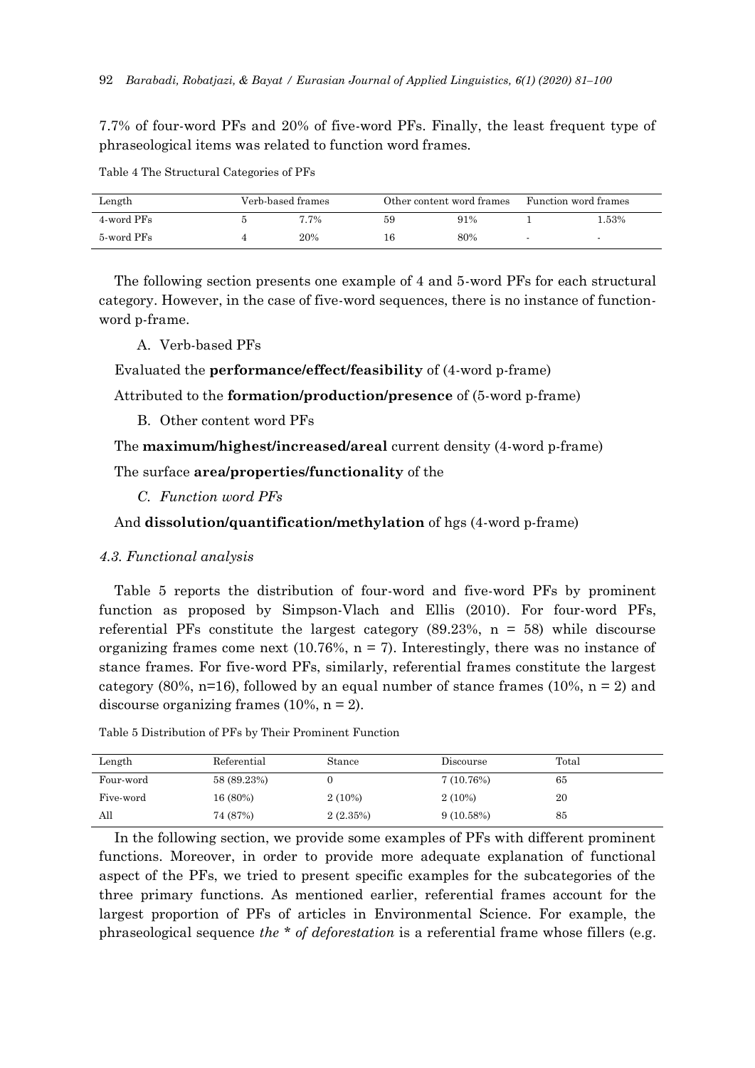7.7% of four-word PFs and 20% of five-word PFs. Finally, the least frequent type of phraseological items was related to function word frames.

| Length     | Verb-based frames |    | Other content word frames | Function word frames |
|------------|-------------------|----|---------------------------|----------------------|
| 4-word PFs | 7.7%              | 59 | 91%                       | .53%                 |
| 5-word PFs | 20%               |    | 80%                       |                      |

Table 4 The Structural Categories of PFs

The following section presents one example of 4 and 5-word PFs for each structural category. However, in the case of five-word sequences, there is no instance of functionword p-frame.

A. Verb-based PFs

Evaluated the **performance/effect/feasibility** of (4-word p-frame)

Attributed to the **formation/production/presence** of (5-word p-frame)

B. Other content word PFs

The **maximum/highest/increased/areal** current density (4-word p-frame)

The surface **area/properties/functionality** of the

*C. Function word PFs*

And **dissolution/quantification/methylation** of hgs (4-word p-frame)

## *4.3. Functional analysis*

Table 5 reports the distribution of four-word and five-word PFs by prominent function as proposed by Simpson-Vlach and Ellis (2010). For four-word PFs, referential PFs constitute the largest category  $(89.23\% , n = 58)$  while discourse organizing frames come next (10.76%,  $n = 7$ ). Interestingly, there was no instance of stance frames. For five-word PFs, similarly, referential frames constitute the largest category (80%,  $n=16$ ), followed by an equal number of stance frames (10%,  $n = 2$ ) and discourse organizing frames  $(10\%, n = 2)$ .

Table 5 Distribution of PFs by Their Prominent Function

| Length    | Referential | Stance    | Discourse | Total |
|-----------|-------------|-----------|-----------|-------|
| Four-word | 58 (89.23%) |           | 7(10.76%) | 65    |
| Five-word | 16 (80%)    | $2(10\%)$ | $2(10\%)$ | 20    |
| All       | 74 (87%)    | 2(2.35%)  | 9(10.58%) | 85    |

In the following section, we provide some examples of PFs with different prominent functions. Moreover, in order to provide more adequate explanation of functional aspect of the PFs, we tried to present specific examples for the subcategories of the three primary functions. As mentioned earlier, referential frames account for the largest proportion of PFs of articles in Environmental Science. For example, the phraseological sequence *the \* of deforestation* is a referential frame whose fillers (e.g.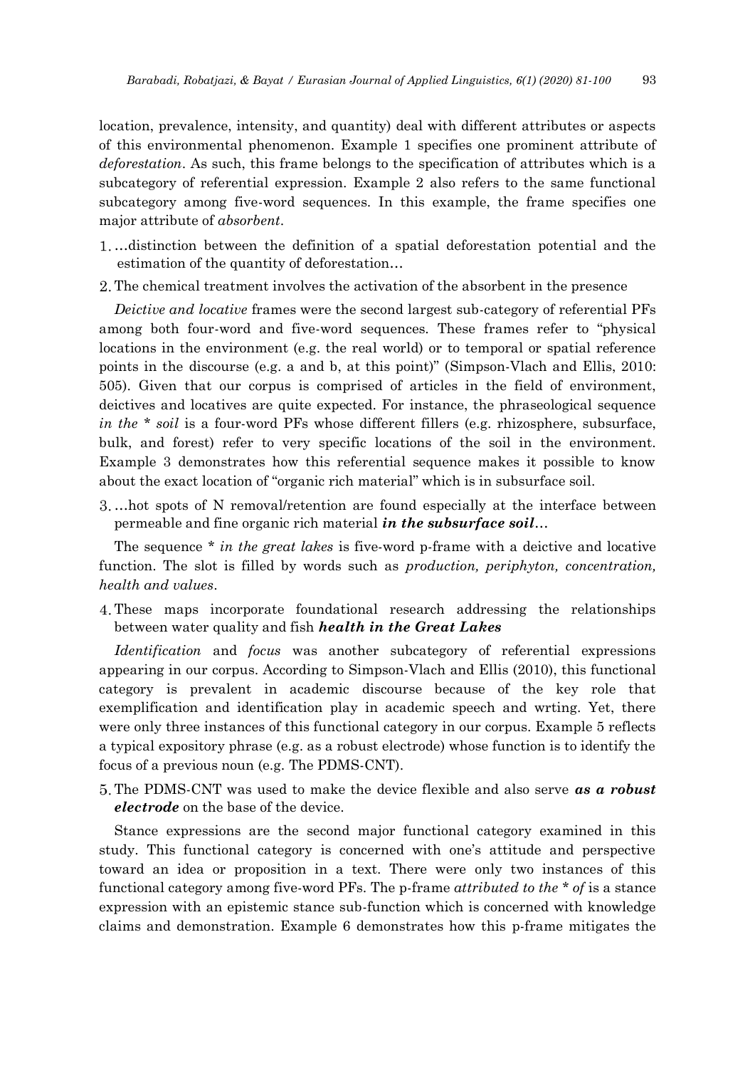location, prevalence, intensity, and quantity) deal with different attributes or aspects of this environmental phenomenon. Example 1 specifies one prominent attribute of *deforestation*. As such, this frame belongs to the specification of attributes which is a subcategory of referential expression. Example 2 also refers to the same functional subcategory among five-word sequences. In this example, the frame specifies one major attribute of *absorbent*.

- …distinction between the definition of a spatial deforestation potential and the estimation of the quantity of deforestation…
- 2. The chemical treatment involves the activation of the absorbent in the presence

*Deictive and locative* frames were the second largest sub-category of referential PFs among both four-word and five-word sequences. These frames refer to "physical locations in the environment (e.g. the real world) or to temporal or spatial reference points in the discourse (e.g. a and b, at this point)" (Simpson-Vlach and Ellis, 2010: 505). Given that our corpus is comprised of articles in the field of environment, deictives and locatives are quite expected. For instance, the phraseological sequence *in the* \* *soil* is a four-word PFs whose different fillers (e.g. rhizosphere, subsurface, bulk, and forest) refer to very specific locations of the soil in the environment. Example 3 demonstrates how this referential sequence makes it possible to know about the exact location of "organic rich material" which is in subsurface soil.

…hot spots of N removal/retention are found especially at the interface between permeable and fine organic rich material *in the subsurface soil*…

The sequence *\* in the great lakes* is five-word p-frame with a deictive and locative function. The slot is filled by words such as *production, periphyton, concentration, health and values*.

These maps incorporate foundational research addressing the relationships between water quality and fish *health in the Great Lakes*

*Identification* and *focus* was another subcategory of referential expressions appearing in our corpus. According to Simpson-Vlach and Ellis (2010), this functional category is prevalent in academic discourse because of the key role that exemplification and identification play in academic speech and wrting. Yet, there were only three instances of this functional category in our corpus. Example 5 reflects a typical expository phrase (e.g. as a robust electrode) whose function is to identify the focus of a previous noun (e.g. The PDMS-CNT).

The PDMS-CNT was used to make the device flexible and also serve *as a robust electrode* on the base of the device.

Stance expressions are the second major functional category examined in this study. This functional category is concerned with one's attitude and perspective toward an idea or proposition in a text. There were only two instances of this functional category among five-word PFs. The p-frame *attributed to the \* of* is a stance expression with an epistemic stance sub-function which is concerned with knowledge claims and demonstration. Example 6 demonstrates how this p-frame mitigates the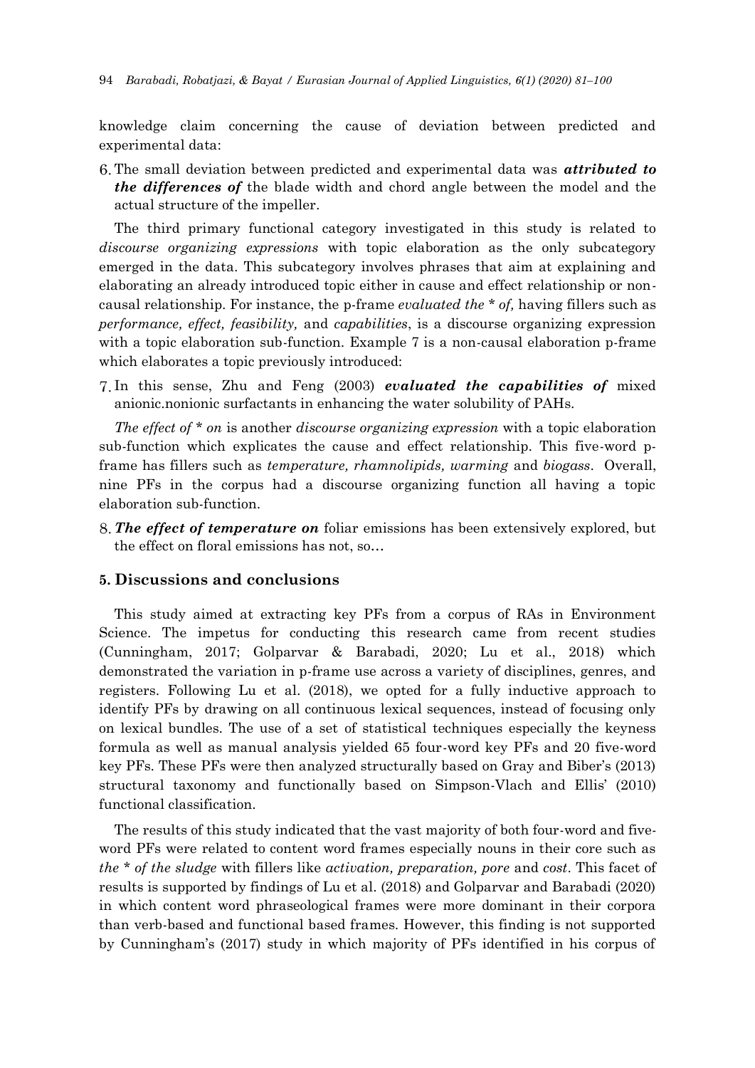knowledge claim concerning the cause of deviation between predicted and experimental data:

The small deviation between predicted and experimental data was *attributed to the differences of* the blade width and chord angle between the model and the actual structure of the impeller.

The third primary functional category investigated in this study is related to *discourse organizing expressions* with topic elaboration as the only subcategory emerged in the data. This subcategory involves phrases that aim at explaining and elaborating an already introduced topic either in cause and effect relationship or noncausal relationship. For instance, the p-frame *evaluated the \* of,* having fillers such as *performance, effect, feasibility,* and *capabilities*, is a discourse organizing expression with a topic elaboration sub-function. Example 7 is a non-causal elaboration p-frame which elaborates a topic previously introduced:

In this sense, Zhu and Feng (2003) *evaluated the capabilities of* mixed anionic.nonionic surfactants in enhancing the water solubility of PAHs.

*The effect of \* on* is another *discourse organizing expression* with a topic elaboration sub-function which explicates the cause and effect relationship. This five-word pframe has fillers such as *temperature, rhamnolipids, warming* and *biogass*. Overall, nine PFs in the corpus had a discourse organizing function all having a topic elaboration sub-function.

*The effect of temperature on* foliar emissions has been extensively explored, but the effect on floral emissions has not, so…

## **5. Discussions and conclusions**

This study aimed at extracting key PFs from a corpus of RAs in Environment Science. The impetus for conducting this research came from recent studies (Cunningham, 2017; Golparvar & Barabadi, 2020; Lu et al., 2018) which demonstrated the variation in p-frame use across a variety of disciplines, genres, and registers. Following Lu et al. (2018), we opted for a fully inductive approach to identify PFs by drawing on all continuous lexical sequences, instead of focusing only on lexical bundles. The use of a set of statistical techniques especially the keyness formula as well as manual analysis yielded 65 four-word key PFs and 20 five-word key PFs. These PFs were then analyzed structurally based on Gray and Biber's (2013) structural taxonomy and functionally based on Simpson-Vlach and Ellis' (2010) functional classification.

The results of this study indicated that the vast majority of both four-word and fiveword PFs were related to content word frames especially nouns in their core such as *the \* of the sludge* with fillers like *activation, preparation, pore* and *cost*. This facet of results is supported by findings of Lu et al. (2018) and Golparvar and Barabadi (2020) in which content word phraseological frames were more dominant in their corpora than verb-based and functional based frames. However, this finding is not supported by Cunningham's (2017) study in which majority of PFs identified in his corpus of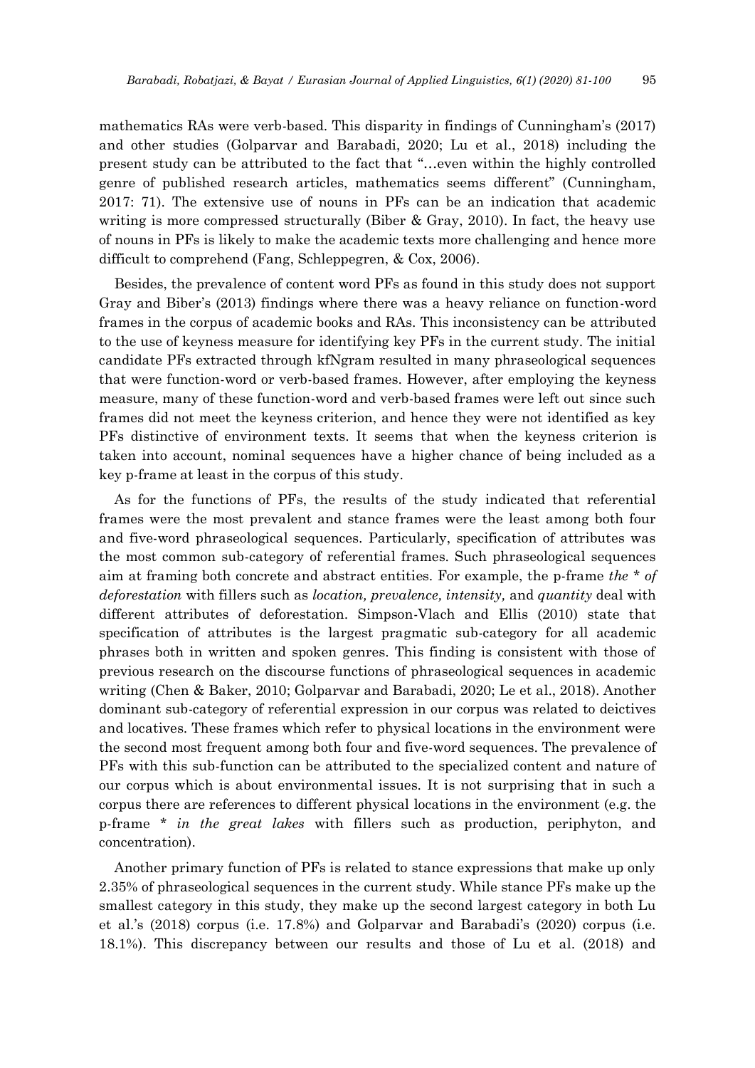mathematics RAs were verb-based. This disparity in findings of Cunningham's (2017) and other studies (Golparvar and Barabadi, 2020; Lu et al., 2018) including the present study can be attributed to the fact that "…even within the highly controlled genre of published research articles, mathematics seems different" (Cunningham, 2017: 71). The extensive use of nouns in PFs can be an indication that academic writing is more compressed structurally (Biber & Gray, 2010). In fact, the heavy use of nouns in PFs is likely to make the academic texts more challenging and hence more difficult to comprehend (Fang, Schleppegren, & Cox, 2006).

Besides, the prevalence of content word PFs as found in this study does not support Gray and Biber's (2013) findings where there was a heavy reliance on function-word frames in the corpus of academic books and RAs. This inconsistency can be attributed to the use of keyness measure for identifying key PFs in the current study. The initial candidate PFs extracted through kfNgram resulted in many phraseological sequences that were function-word or verb-based frames. However, after employing the keyness measure, many of these function-word and verb-based frames were left out since such frames did not meet the keyness criterion, and hence they were not identified as key PFs distinctive of environment texts. It seems that when the keyness criterion is taken into account, nominal sequences have a higher chance of being included as a key p-frame at least in the corpus of this study.

As for the functions of PFs, the results of the study indicated that referential frames were the most prevalent and stance frames were the least among both four and five-word phraseological sequences. Particularly, specification of attributes was the most common sub-category of referential frames. Such phraseological sequences aim at framing both concrete and abstract entities. For example, the p-frame *the \* of deforestation* with fillers such as *location, prevalence, intensity,* and *quantity* deal with different attributes of deforestation. Simpson-Vlach and Ellis (2010) state that specification of attributes is the largest pragmatic sub-category for all academic phrases both in written and spoken genres. This finding is consistent with those of previous research on the discourse functions of phraseological sequences in academic writing (Chen & Baker, 2010; Golparvar and Barabadi, 2020; Le et al., 2018). Another dominant sub-category of referential expression in our corpus was related to deictives and locatives. These frames which refer to physical locations in the environment were the second most frequent among both four and five-word sequences. The prevalence of PFs with this sub-function can be attributed to the specialized content and nature of our corpus which is about environmental issues. It is not surprising that in such a corpus there are references to different physical locations in the environment (e.g. the p-frame *\* in the great lakes* with fillers such as production, periphyton, and concentration).

Another primary function of PFs is related to stance expressions that make up only 2.35% of phraseological sequences in the current study. While stance PFs make up the smallest category in this study, they make up the second largest category in both Lu et al.'s (2018) corpus (i.e. 17.8%) and Golparvar and Barabadi's (2020) corpus (i.e. 18.1%). This discrepancy between our results and those of Lu et al. (2018) and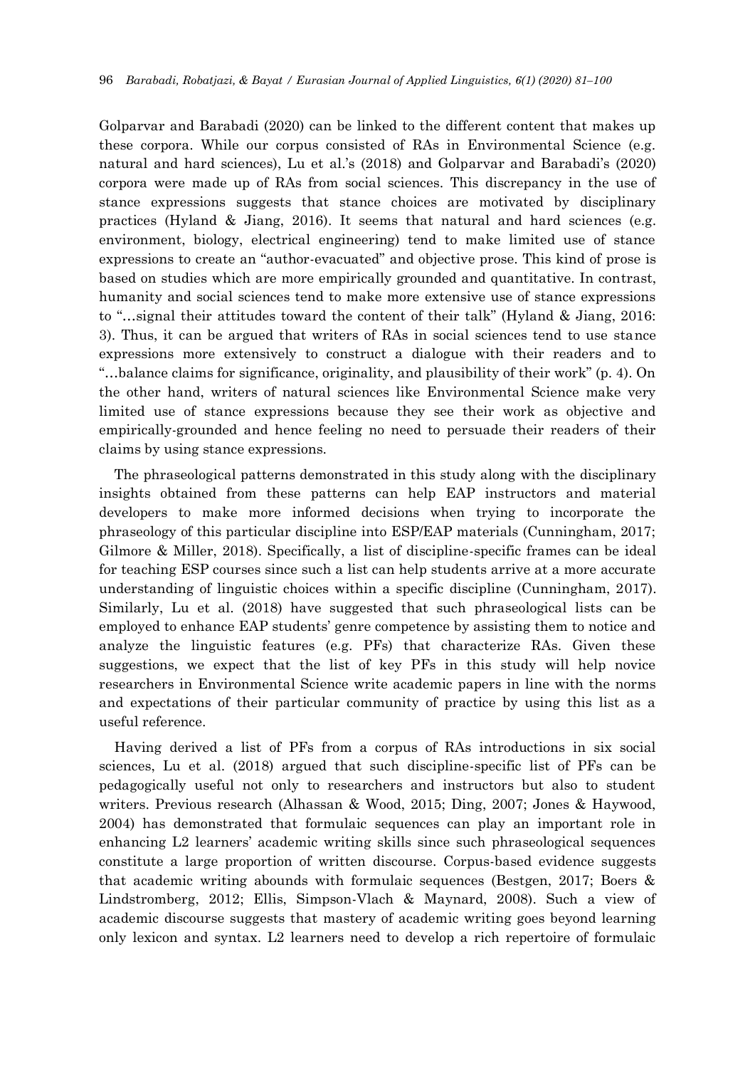Golparvar and Barabadi (2020) can be linked to the different content that makes up these corpora. While our corpus consisted of RAs in Environmental Science (e.g. natural and hard sciences), Lu et al.'s (2018) and Golparvar and Barabadi's (2020) corpora were made up of RAs from social sciences. This discrepancy in the use of stance expressions suggests that stance choices are motivated by disciplinary practices (Hyland & Jiang, 2016). It seems that natural and hard sciences (e.g. environment, biology, electrical engineering) tend to make limited use of stance expressions to create an "author-evacuated" and objective prose. This kind of prose is based on studies which are more empirically grounded and quantitative. In contrast, humanity and social sciences tend to make more extensive use of stance expressions to "…signal their attitudes toward the content of their talk" (Hyland & Jiang, 2016: 3). Thus, it can be argued that writers of RAs in social sciences tend to use stance expressions more extensively to construct a dialogue with their readers and to "…balance claims for significance, originality, and plausibility of their work" (p. 4). On the other hand, writers of natural sciences like Environmental Science make very limited use of stance expressions because they see their work as objective and empirically-grounded and hence feeling no need to persuade their readers of their claims by using stance expressions.

The phraseological patterns demonstrated in this study along with the disciplinary insights obtained from these patterns can help EAP instructors and material developers to make more informed decisions when trying to incorporate the phraseology of this particular discipline into ESP/EAP materials (Cunningham, 2017; Gilmore & Miller, 2018). Specifically, a list of discipline-specific frames can be ideal for teaching ESP courses since such a list can help students arrive at a more accurate understanding of linguistic choices within a specific discipline (Cunningham, 2017). Similarly, Lu et al. (2018) have suggested that such phraseological lists can be employed to enhance EAP students' genre competence by assisting them to notice and analyze the linguistic features (e.g. PFs) that characterize RAs. Given these suggestions, we expect that the list of key PFs in this study will help novice researchers in Environmental Science write academic papers in line with the norms and expectations of their particular community of practice by using this list as a useful reference.

Having derived a list of PFs from a corpus of RAs introductions in six social sciences, Lu et al. (2018) argued that such discipline-specific list of PFs can be pedagogically useful not only to researchers and instructors but also to student writers. Previous research (Alhassan & Wood, 2015; Ding, 2007; Jones & Haywood, 2004) has demonstrated that formulaic sequences can play an important role in enhancing L2 learners' academic writing skills since such phraseological sequences constitute a large proportion of written discourse. Corpus-based evidence suggests that academic writing abounds with formulaic sequences (Bestgen, 2017; Boers & Lindstromberg, 2012; Ellis, Simpson-Vlach & Maynard, 2008). Such a view of academic discourse suggests that mastery of academic writing goes beyond learning only lexicon and syntax. L2 learners need to develop a rich repertoire of formulaic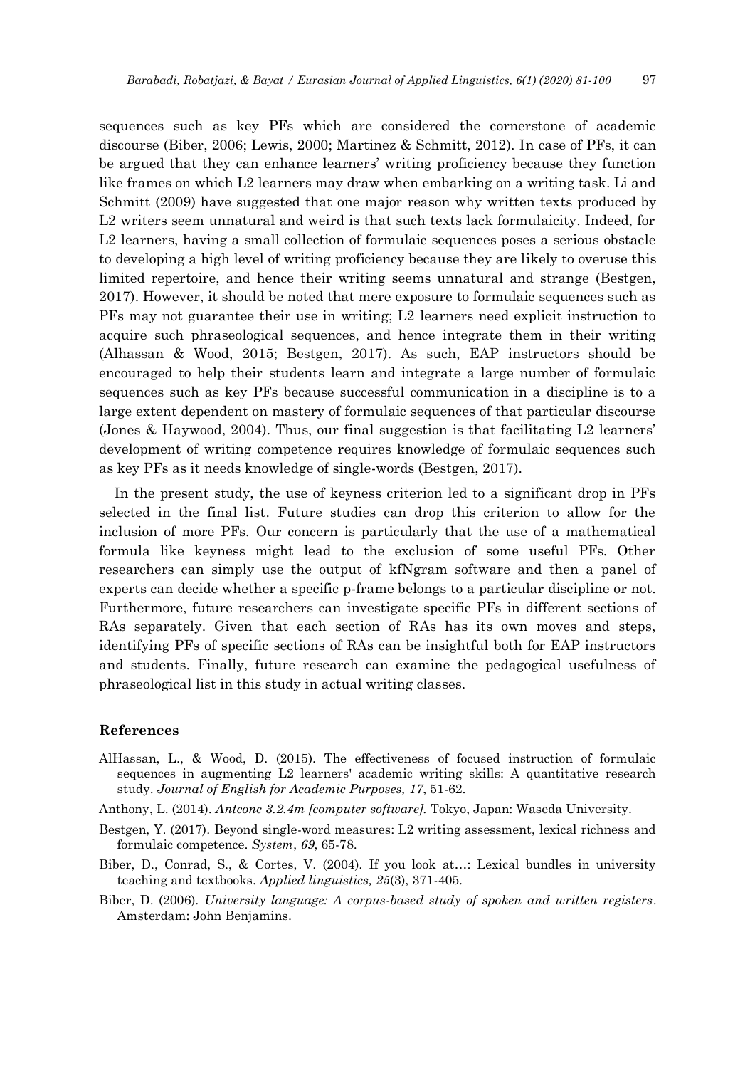sequences such as key PFs which are considered the cornerstone of academic discourse (Biber, 2006; Lewis, 2000; Martinez & Schmitt, 2012). In case of PFs, it can be argued that they can enhance learners' writing proficiency because they function like frames on which L2 learners may draw when embarking on a writing task. Li and Schmitt (2009) have suggested that one major reason why written texts produced by L2 writers seem unnatural and weird is that such texts lack formulaicity. Indeed, for L2 learners, having a small collection of formulaic sequences poses a serious obstacle to developing a high level of writing proficiency because they are likely to overuse this limited repertoire, and hence their writing seems unnatural and strange (Bestgen, 2017). However, it should be noted that mere exposure to formulaic sequences such as PFs may not guarantee their use in writing; L2 learners need explicit instruction to acquire such phraseological sequences, and hence integrate them in their writing (Alhassan & Wood, 2015; Bestgen, 2017). As such, EAP instructors should be encouraged to help their students learn and integrate a large number of formulaic sequences such as key PFs because successful communication in a discipline is to a large extent dependent on mastery of formulaic sequences of that particular discourse (Jones & Haywood, 2004). Thus, our final suggestion is that facilitating L2 learners' development of writing competence requires knowledge of formulaic sequences such as key PFs as it needs knowledge of single-words (Bestgen, 2017).

In the present study, the use of keyness criterion led to a significant drop in PFs selected in the final list. Future studies can drop this criterion to allow for the inclusion of more PFs. Our concern is particularly that the use of a mathematical formula like keyness might lead to the exclusion of some useful PFs. Other researchers can simply use the output of kfNgram software and then a panel of experts can decide whether a specific p-frame belongs to a particular discipline or not. Furthermore, future researchers can investigate specific PFs in different sections of RAs separately. Given that each section of RAs has its own moves and steps, identifying PFs of specific sections of RAs can be insightful both for EAP instructors and students. Finally, future research can examine the pedagogical usefulness of phraseological list in this study in actual writing classes.

#### **References**

- AlHassan, L., & Wood, D. (2015). The effectiveness of focused instruction of formulaic sequences in augmenting L2 learners' academic writing skills: A quantitative research study. *Journal of English for Academic Purposes, 17*, 51-62.
- Anthony, L. (2014). *Antconc 3.2.4m [computer software].* Tokyo, Japan: Waseda University.
- Bestgen, Y. (2017). Beyond single-word measures: L2 writing assessment, lexical richness and formulaic competence. *System*, *69*, 65-78.
- Biber, D., Conrad, S., & Cortes, V. (2004). If you look at…: Lexical bundles in university teaching and textbooks. *Applied linguistics, 25*(3), 371-405.
- Biber, D. (2006). *University language: A corpus-based study of spoken and written registers*. Amsterdam: John Benjamins.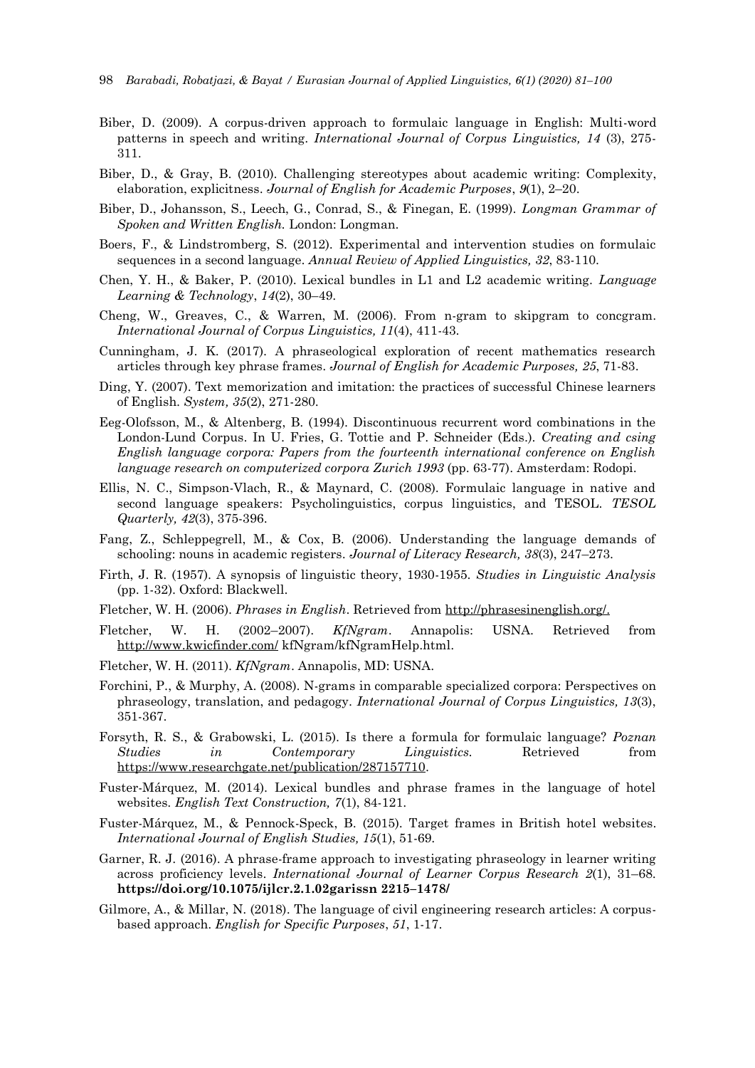- Biber, D. (2009). A corpus-driven approach to formulaic language in English: Multi-word patterns in speech and writing. *International Journal of Corpus Linguistics, 14* (3), 275- 311.
- Biber, D., & Gray, B. (2010). Challenging stereotypes about academic writing: Complexity, elaboration, explicitness. *Journal of English for Academic Purposes*, *9*(1), 2–20.
- Biber, D., Johansson, S., Leech, G., Conrad, S., & Finegan, E. (1999). *Longman Grammar of Spoken and Written English.* London: Longman.
- Boers, F., & Lindstromberg, S. (2012). Experimental and intervention studies on formulaic sequences in a second language. *Annual Review of Applied Linguistics, 32*, 83-110.
- Chen, Y. H., & Baker, P. (2010). Lexical bundles in L1 and L2 academic writing. *Language Learning & Technology*, *14*(2), 30–49.
- Cheng, W., Greaves, C., & Warren, M. (2006). From n-gram to skipgram to concgram. *International Journal of Corpus Linguistics, 11*(4), 411-43.
- Cunningham, J. K. (2017). A phraseological exploration of recent mathematics research articles through key phrase frames. *Journal of English for Academic Purposes, 25*, 71-83.
- Ding, Y. (2007). Text memorization and imitation: the practices of successful Chinese learners of English. *System, 35*(2), 271-280.
- Eeg-Olofsson, M., & Altenberg, B. (1994). Discontinuous recurrent word combinations in the London-Lund Corpus. In U. Fries, G. Tottie and P. Schneider (Eds.). *Creating and csing English language corpora: Papers from the fourteenth international conference on English language research on computerized corpora Zurich 1993* (pp. 63-77). Amsterdam: Rodopi.
- Ellis, N. C., Simpson-Vlach, R., & Maynard, C. (2008). Formulaic language in native and second language speakers: Psycholinguistics, corpus linguistics, and TESOL. *TESOL Quarterly, 42*(3), 375-396.
- Fang, Z., Schleppegrell, M., & Cox, B. (2006). Understanding the language demands of schooling: nouns in academic registers. *Journal of Literacy Research, 38*(3), 247–273.
- Firth, J. R. (1957). A synopsis of linguistic theory, 1930-1955. *Studies in Linguistic Analysis* (pp. 1-32). Oxford: Blackwell.
- Fletcher, W. H. (2006). *Phrases in English*. Retrieved fro[m http://phrasesinenglish.org/.](http://phrasesinenglish.org/)
- Fletcher, W. H. (2002–2007). *KfNgram*. Annapolis: USNA. Retrieved from <http://www.kwicfinder.com/> kfNgram/kfNgramHelp.html.
- Fletcher, W. H. (2011). *KfNgram*. Annapolis, MD: USNA.
- Forchini, P., & Murphy, A. (2008). N-grams in comparable specialized corpora: Perspectives on phraseology, translation, and pedagogy. *International Journal of Corpus Linguistics, 13*(3), 351-367.
- Forsyth, R. S., & Grabowski, L. (2015). Is there a formula for formulaic language? *Poznan Studies in Contemporary Linguistics.* Retrieved from [https://www.researchgate.net/publication/287157710.](https://www.researchgate.net/publication/287157710)
- Fuster-Márquez, M. (2014). Lexical bundles and phrase frames in the language of hotel websites*. English Text Construction, 7*(1), 84-121.
- Fuster-Márquez, M., & Pennock-Speck, B. (2015). Target frames in British hotel websites. *International Journal of English Studies, 15*(1), 51-69.
- Garner, R. J. (2016). A phrase-frame approach to investigating phraseology in learner writing across proficiency levels. *International Journal of Learner Corpus Research 2*(1), 31–68. **https://doi.org/10.1075/ijlcr.2.1.02garissn 2215–1478/**
- Gilmore, A., & Millar, N. (2018). The language of civil engineering research articles: A corpusbased approach. *English for Specific Purposes*, *51*, 1-17.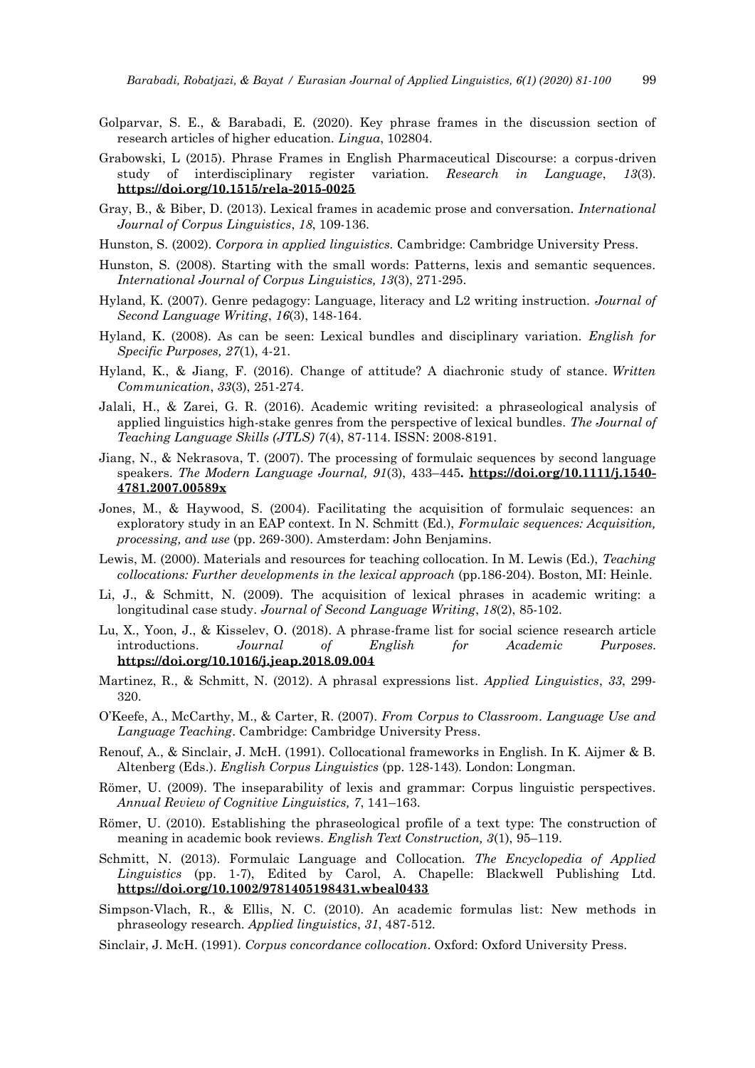- Golparvar, S. E., & Barabadi, E. (2020). Key phrase frames in the discussion section of research articles of higher education. *Lingua*, 102804.
- Grabowski, L (2015). Phrase Frames in English Pharmaceutical Discourse: a corpus-driven study of interdisciplinary register variation. *Research in Language*, *13*(3). **<https://doi.org/10.1515/rela-2015-0025>**
- Gray, B., & Biber, D. (2013). Lexical frames in academic prose and conversation. *International Journal of Corpus Linguistics*, *18*, 109-136.
- Hunston, S. (2002). *Corpora in applied linguistics.* Cambridge: Cambridge University Press.
- Hunston, S. (2008). Starting with the small words: Patterns, lexis and semantic sequences. *International Journal of Corpus Linguistics, 13*(3), 271-295.
- Hyland, K. (2007). Genre pedagogy: Language, literacy and L2 writing instruction. *Journal of Second Language Writing*, *16*(3), 148-164.
- Hyland, K. (2008). As can be seen: Lexical bundles and disciplinary variation. *English for Specific Purposes, 27*(1), 4-21.
- Hyland, K., & Jiang, F. (2016). Change of attitude? A diachronic study of stance. *Written Communication*, *33*(3), 251-274.
- Jalali, H., & Zarei, G. R. (2016). Academic writing revisited: a phraseological analysis of applied linguistics high-stake genres from the perspective of lexical bundles. *The Journal of Teaching Language Skills (JTLS) 7*(4), 87-114. ISSN: 2008-8191.
- Jiang, N., & Nekrasova, T. (2007). The processing of formulaic sequences by second language speakers. *The Modern Language Journal, 91*(3), 433–445**. [https://doi.org/10.1111/j.1540-](https://doi.org/10.1111/j.1540-4781.2007.00589x) [4781.2007.00589x](https://doi.org/10.1111/j.1540-4781.2007.00589x)**
- Jones, M., & Haywood, S. (2004). Facilitating the acquisition of formulaic sequences: an exploratory study in an EAP context. In N. Schmitt (Ed.), *Formulaic sequences: Acquisition, processing, and use* (pp. 269-300). Amsterdam: John Benjamins.
- Lewis, M. (2000). Materials and resources for teaching collocation. In M. Lewis (Ed.), *Teaching collocations: Further developments in the lexical approach* (pp.186-204). Boston, MI: Heinle.
- Li, J., & Schmitt, N. (2009). The acquisition of lexical phrases in academic writing: a longitudinal case study. *Journal of Second Language Writing*, *18*(2), 85-102.
- Lu, X., Yoon, J., & Kisselev, O. (2018). A phrase-frame list for social science research article introductions. *Journal of English for Academic Purposes.* **<https://doi.org/10.1016/j.jeap.2018.09.004>**
- Martinez, R., & Schmitt, N. (2012). A phrasal expressions list. *Applied Linguistics*, *33*, 299- 320.
- O'Keefe, A., McCarthy, M., & Carter, R. (2007). *From Corpus to Classroom. Language Use and Language Teaching*. Cambridge: Cambridge University Press.
- Renouf, A., & Sinclair, J. McH. (1991). Collocational frameworks in English. In K. Aijmer & B. Altenberg (Eds.). *English Corpus Linguistics* (pp. 128-143)*.* London: Longman.
- Römer, U. (2009). The inseparability of lexis and grammar: Corpus linguistic perspectives. *Annual Review of Cognitive Linguistics, 7*, 141–163.
- Römer, U. (2010). Establishing the phraseological profile of a text type: The construction of meaning in academic book reviews. *English Text Construction, 3*(1), 95–119.
- Schmitt, N. (2013). Formulaic Language and Collocation. *The Encyclopedia of Applied Linguistics* (pp. 1-7), Edited by Carol, A. Chapelle: Blackwell Publishing Ltd. **<https://doi.org/10.1002/9781405198431.wbeal0433>**
- Simpson-Vlach, R., & Ellis, N. C. (2010). An academic formulas list: New methods in phraseology research. *Applied linguistics*, *31*, 487-512.
- Sinclair, J. McH. (1991). *Corpus concordance collocation*. Oxford: Oxford University Press.